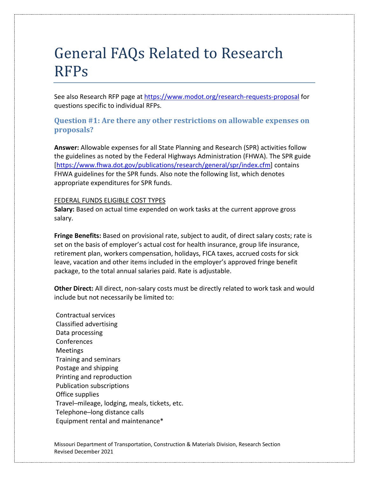# General FAQs Related to Research RFPs

See also Research RFP page at<https://www.modot.org/research-requests-proposal> for questions specific to individual RFPs.

## **Question #1: Are there any other restrictions on allowable expenses on proposals?**

**Answer:** Allowable expenses for all State Planning and Research (SPR) activities follow the guidelines as noted by the Federal Highways Administration (FHWA). The SPR guide [\[https://www.fhwa.dot.gov/publications/research/general/spr/index.cfm\]](https://www.fhwa.dot.gov/publications/research/general/spr/index.cfm) contains FHWA guidelines for the SPR funds. Also note the following list, which denotes appropriate expenditures for SPR funds.

#### FEDERAL FUNDS ELIGIBLE COST TYPES

**Salary:** Based on actual time expended on work tasks at the current approve gross salary.

**Fringe Benefits:** Based on provisional rate, subject to audit, of direct salary costs; rate is set on the basis of employer's actual cost for health insurance, group life insurance, retirement plan, workers compensation, holidays, FICA taxes, accrued costs for sick leave, vacation and other items included in the employer's approved fringe benefit package, to the total annual salaries paid. Rate is adjustable.

**Other Direct:** All direct, non-salary costs must be directly related to work task and would include but not necessarily be limited to:

Contractual services Classified advertising Data processing **Conferences** Meetings Training and seminars Postage and shipping Printing and reproduction Publication subscriptions Office supplies Travel─mileage, lodging, meals, tickets, etc. Telephone─long distance calls Equipment rental and maintenance\*

Missouri Department of Transportation, Construction & Materials Division, Research Section Revised December 2021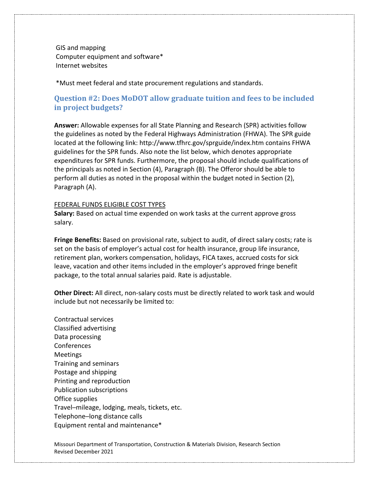GIS and mapping Computer equipment and software\* Internet websites

\*Must meet federal and state procurement regulations and standards.

## **Question #2: Does MoDOT allow graduate tuition and fees to be included in project budgets?**

**Answer:** Allowable expenses for all State Planning and Research (SPR) activities follow the guidelines as noted by the Federal Highways Administration (FHWA). The SPR guide located at the following link: http://www.tfhrc.gov/sprguide/index.htm contains FHWA guidelines for the SPR funds. Also note the list below, which denotes appropriate expenditures for SPR funds. Furthermore, the proposal should include qualifications of the principals as noted in Section (4), Paragraph (B). The Offeror should be able to perform all duties as noted in the proposal within the budget noted in Section (2), Paragraph (A).

#### FEDERAL FUNDS ELIGIBLE COST TYPES

**Salary:** Based on actual time expended on work tasks at the current approve gross salary.

**Fringe Benefits:** Based on provisional rate, subject to audit, of direct salary costs; rate is set on the basis of employer's actual cost for health insurance, group life insurance, retirement plan, workers compensation, holidays, FICA taxes, accrued costs for sick leave, vacation and other items included in the employer's approved fringe benefit package, to the total annual salaries paid. Rate is adjustable.

**Other Direct:** All direct, non-salary costs must be directly related to work task and would include but not necessarily be limited to:

Contractual services Classified advertising Data processing Conferences Meetings Training and seminars Postage and shipping Printing and reproduction Publication subscriptions Office supplies Travel─mileage, lodging, meals, tickets, etc. Telephone─long distance calls Equipment rental and maintenance\*

Missouri Department of Transportation, Construction & Materials Division, Research Section Revised December 2021